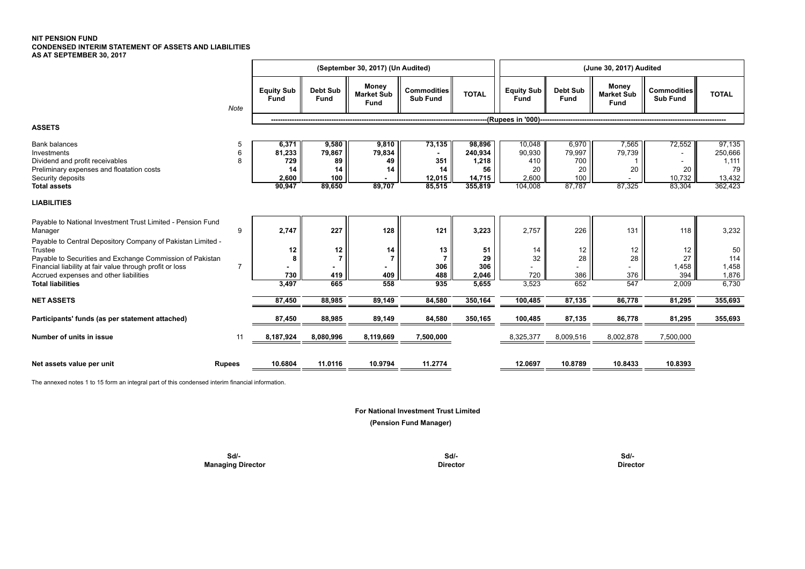## **NIT PENSION FUND CONDENSED INTERIM STATEMENT OF ASSETS AND LIABILITIES AS AT SEPTEMBER 30, 2017**

|                                                                                                                                                                                                                                                                       |                | (September 30, 2017) (Un Audited)               |                                              |                                           |                                         |                                                       |                                                   | (June 30, 2017) Audited                       |                                    |                                       |                                                       |  |  |
|-----------------------------------------------------------------------------------------------------------------------------------------------------------------------------------------------------------------------------------------------------------------------|----------------|-------------------------------------------------|----------------------------------------------|-------------------------------------------|-----------------------------------------|-------------------------------------------------------|---------------------------------------------------|-----------------------------------------------|------------------------------------|---------------------------------------|-------------------------------------------------------|--|--|
|                                                                                                                                                                                                                                                                       | Note           | <b>Equity Sub</b><br><b>Fund</b>                | Debt Sub<br>Fund                             | Money<br><b>Market Sub</b><br><b>Fund</b> | <b>Commodities</b><br><b>Sub Fund</b>   | <b>TOTAL</b>                                          | Equity Sub<br><b>Fund</b>                         | Debt Sub<br>Fund                              | Money<br><b>Market Sub</b><br>Fund | Commodities<br><b>Sub Fund</b>        | <b>TOTAL</b>                                          |  |  |
|                                                                                                                                                                                                                                                                       |                |                                                 |                                              |                                           |                                         |                                                       | (Rupees in '000)----                              |                                               |                                    |                                       |                                                       |  |  |
| <b>ASSETS</b>                                                                                                                                                                                                                                                         |                |                                                 |                                              |                                           |                                         |                                                       |                                                   |                                               |                                    |                                       |                                                       |  |  |
| <b>Bank balances</b><br>Investments<br>Dividend and profit receivables<br>Preliminary expenses and floatation costs<br>Security deposits<br><b>Total assets</b>                                                                                                       | 5<br>6<br>8    | 6,371<br>81,233<br>729<br>14<br>2,600<br>90,947 | 9,580<br>79,867<br>89<br>14<br>100<br>89,650 | 9,810<br>79,834<br>49<br>14<br>89,707     | 73,135<br>351<br>14<br>12,015<br>85,515 | 98,896<br>240,934<br>1,218<br>56<br>14,715<br>355,819 | 10,048<br>90,930<br>410<br>20<br>2,600<br>104,008 | 6,970<br>79,997<br>700<br>20<br>100<br>87,787 | 7,565<br>79,739<br>20<br>87,325    | 72,552<br>٠<br>20<br>10,732<br>83,304 | 97,135<br>250,666<br>1,111<br>79<br>13,432<br>362,423 |  |  |
| <b>LIABILITIES</b>                                                                                                                                                                                                                                                    |                |                                                 |                                              |                                           |                                         |                                                       |                                                   |                                               |                                    |                                       |                                                       |  |  |
| Payable to National Investment Trust Limited - Pension Fund<br>Manager                                                                                                                                                                                                | 9              | 2,747                                           | 227                                          | 128                                       | 121                                     | 3,223                                                 | 2,757                                             | 226                                           | 131                                | 118                                   | 3,232                                                 |  |  |
| Payable to Central Depository Company of Pakistan Limited -<br>Trustee<br>Payable to Securities and Exchange Commission of Pakistan<br>Financial liability at fair value through profit or loss<br>Accrued expenses and other liabilities<br><b>Total liabilities</b> | $\overline{7}$ | 12<br>730<br>3.497                              | 12 <sub>1</sub><br>419<br>665                | 14<br>409<br>558                          | 13<br>306<br>488<br>935                 | 51<br>29<br>306<br>2,046<br>5,655                     | 14<br>32<br>720<br>3,523                          | 12<br>28<br>386<br>652                        | 12<br>28<br>376<br>547             | 12<br>27<br>1,458<br>394<br>2,009     | 50<br>114<br>1,458<br>1,876<br>6,730                  |  |  |
| <b>NET ASSETS</b>                                                                                                                                                                                                                                                     |                | 87,450                                          | 88,985                                       | 89,149                                    | 84,580                                  | 350,164                                               | 100,485                                           | 87,135                                        | 86,778                             | 81,295                                | 355,693                                               |  |  |
| Participants' funds (as per statement attached)                                                                                                                                                                                                                       |                | 87,450                                          | 88,985                                       | 89,149                                    | 84,580                                  | 350,165                                               | 100,485                                           | 87,135                                        | 86,778                             | 81,295                                | 355,693                                               |  |  |
| Number of units in issue                                                                                                                                                                                                                                              | 11             | 8,187,924                                       | 8,080,996                                    | 8,119,669                                 | 7,500,000                               |                                                       | 8,325,377                                         | 8,009,516                                     | 8,002,878                          | 7,500,000                             |                                                       |  |  |
| Net assets value per unit                                                                                                                                                                                                                                             | <b>Rupees</b>  | 10.6804                                         | 11.0116                                      | 10.9794                                   | 11.2774                                 |                                                       | 12.0697                                           | 10.8789                                       | 10.8433                            | 10.8393                               |                                                       |  |  |

The annexed notes 1 to 15 form an integral part of this condensed interim financial information.

 **For National Investment Trust Limited**

 **(Pension Fund Manager)**

 **Sd/- Sd/- Sd/- Managing Director** Director **Director Director Director Director Director Director**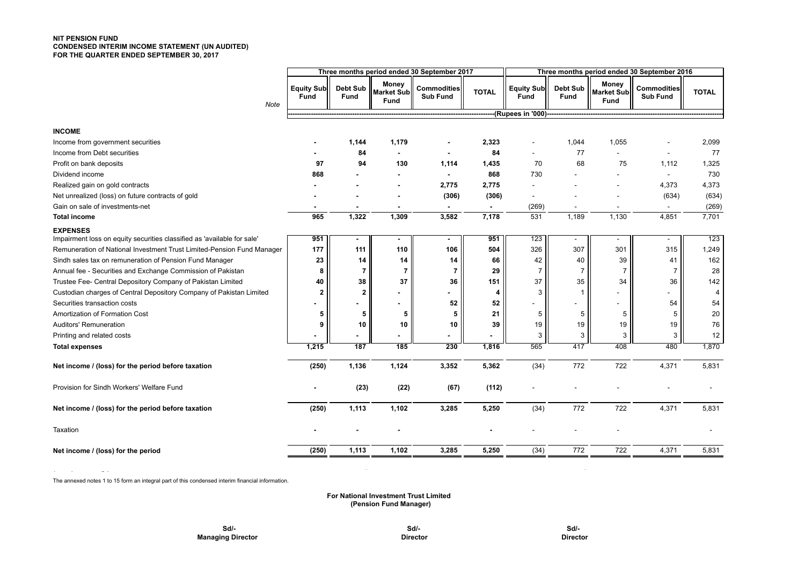## **NIT PENSION FUND CONDENSED INTERIM INCOME STATEMENT (UN AUDITED) FOR THE QUARTER ENDED SEPTEMBER 30, 2017**

|                                                                         | Three months period ended 30 September 2017 |                  |                                    |                                       |              | Three months period ended 30 September 2016 |                         |                                    |                                |              |
|-------------------------------------------------------------------------|---------------------------------------------|------------------|------------------------------------|---------------------------------------|--------------|---------------------------------------------|-------------------------|------------------------------------|--------------------------------|--------------|
| <b>Note</b>                                                             | <b>Equity Sub</b><br><b>Fund</b>            | Debt Sub<br>Fund | Money<br><b>Market Sub</b><br>Fund | <b>Commodities</b><br><b>Sub Fund</b> | <b>TOTAL</b> | Equity Sub<br><b>Fund</b>                   | Debt Sub<br><b>Fund</b> | Money<br><b>Market Sub</b><br>Fund | Commodities<br><b>Sub Fund</b> | <b>TOTAL</b> |
|                                                                         |                                             |                  |                                    |                                       |              |                                             |                         |                                    |                                |              |
| <b>INCOME</b>                                                           |                                             |                  |                                    |                                       |              |                                             |                         |                                    |                                |              |
| Income from government securities                                       |                                             | 1,144            | 1,179                              |                                       | 2,323        |                                             | 1,044                   | 1,055                              |                                | 2,099        |
| Income from Debt securities                                             |                                             | 84               |                                    |                                       | 84           | $\sim$                                      | 77                      |                                    |                                | 77           |
| Profit on bank deposits                                                 | 97                                          | 94               | 130                                | 1,114                                 | 1,435        | 70                                          | 68                      | 75                                 | 1,112                          | 1,325        |
| Dividend income                                                         | 868                                         |                  |                                    |                                       | 868          | 730                                         |                         |                                    | $\sim$                         | 730          |
| Realized gain on gold contracts                                         |                                             |                  |                                    | 2,775                                 | 2,775        |                                             |                         |                                    | 4,373                          | 4,373        |
| Net unrealized (loss) on future contracts of gold                       |                                             |                  |                                    | (306)                                 | (306)        | $\overline{\phantom{a}}$                    |                         |                                    | (634)                          | (634)        |
| Gain on sale of investments-net                                         |                                             |                  |                                    |                                       |              | (269)                                       |                         |                                    |                                | (269)        |
| <b>Total income</b>                                                     | 965                                         | 1,322            | 1,309                              | 3,582                                 | 7,178        | 531                                         | 1,189                   | 1,130                              | 4,851                          | 7,701        |
| <b>EXPENSES</b>                                                         |                                             |                  |                                    |                                       |              |                                             |                         |                                    |                                |              |
| Impairment loss on equity securities classified as 'available for sale' | 951                                         |                  |                                    |                                       | 951          | 123                                         |                         |                                    | $\sim$                         | 123          |
| Remuneration of National Investment Trust Limited-Pension Fund Manager  | 177                                         | 111              | 110                                | 106                                   | 504          | 326                                         | 307                     | 301                                | 315                            | 1,249        |
| Sindh sales tax on remuneration of Pension Fund Manager                 | 23                                          | 14               | 14                                 | 14                                    | 66           | 42                                          | 40                      | 39                                 | 41                             | 162          |
| Annual fee - Securities and Exchange Commission of Pakistan             | 8                                           | $\overline{7}$   | $\overline{7}$                     | 7                                     | 29           | 7 <sup>1</sup>                              | $\overline{7}$          | $\overline{7}$                     | 7                              | 28           |
| Trustee Fee- Central Depository Company of Pakistan Limited             | 40                                          | 38               | 37                                 | 36                                    | 151          | 37                                          | 35                      | 34                                 | 36                             | 142          |
| Custodian charges of Central Depository Company of Pakistan Limited     | $\overline{2}$                              | $\overline{2}$   |                                    |                                       | 4            | 3                                           | -1                      |                                    |                                | 4            |
| Securities transaction costs                                            |                                             |                  |                                    | 52                                    | 52           |                                             |                         |                                    | 54                             | 54           |
| Amortization of Formation Cost                                          | 5                                           | 5                | 5                                  | 5                                     | 21           | 5                                           | 5                       | 5                                  | 5                              | 20           |
| Auditors' Remuneration                                                  | 9                                           | 10               | 10                                 | 10                                    | 39           | 19                                          | 19                      | 19                                 | 19                             | 76           |
| Printing and related costs                                              |                                             |                  |                                    |                                       |              | 3                                           | 3                       | 3                                  | 3                              | 12           |
| <b>Total expenses</b>                                                   | 1,215                                       | 187              | 185                                | $\overline{230}$                      | 1,816        | 565                                         | 417                     | 408                                | 480                            | 1,870        |
| Net income / (loss) for the period before taxation                      | (250)                                       | 1,136            | 1,124                              | 3,352                                 | 5,362        | (34)                                        | 772                     | 722                                | 4,371                          | 5,831        |
| Provision for Sindh Workers' Welfare Fund                               |                                             | (23)             | (22)                               | (67)                                  | (112)        |                                             |                         |                                    |                                |              |
| Net income / (loss) for the period before taxation                      | (250)                                       | 1,113            | 1,102                              | 3,285                                 | 5,250        | (34)                                        | 772                     | 722                                | 4,371                          | 5,831        |
| Taxation                                                                |                                             |                  |                                    |                                       |              |                                             |                         |                                    |                                |              |
| Net income / (loss) for the period                                      | (250)                                       | 1,113            | 1,102                              | 3,285                                 | 5,250        | (34)                                        | 772                     | 722                                | 4,371                          | 5,831        |
|                                                                         |                                             |                  |                                    |                                       |              |                                             |                         |                                    |                                |              |

The annexed notes 1 to 15 form an integral part of this condensed interim financial information.

## **For National Investment Trust Limited (Pension Fund Manager)**

**--------------------------------Rupees------------------------------ --------------------------------Rupees------------------------------**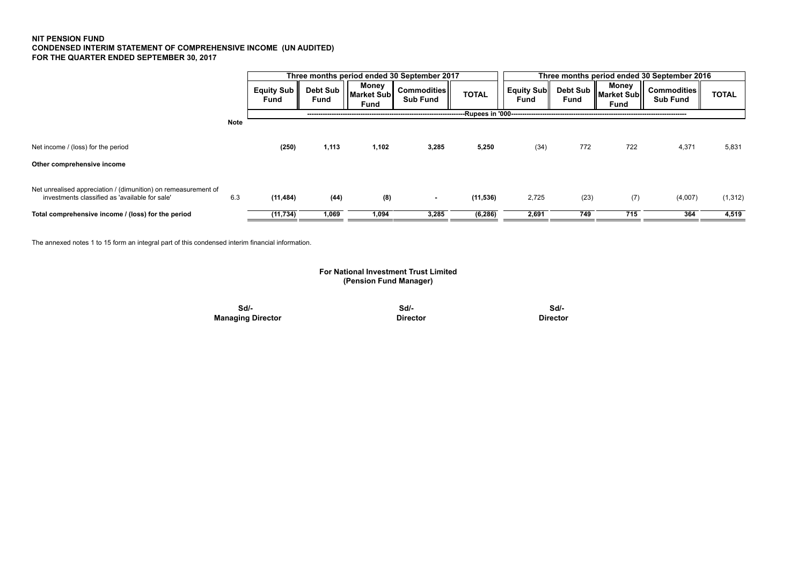## **NIT PENSION FUND CONDENSED INTERIM STATEMENT OF COMPREHENSIVE INCOME (UN AUDITED) FOR THE QUARTER ENDED SEPTEMBER 30, 2017**

|                                                                                                                  |             |                    |                    |                             | Three months period ended 30 September 2017 |                         | Three months period ended 30 September 2016 |      |                                                                    |                                   |              |  |  |
|------------------------------------------------------------------------------------------------------------------|-------------|--------------------|--------------------|-----------------------------|---------------------------------------------|-------------------------|---------------------------------------------|------|--------------------------------------------------------------------|-----------------------------------|--------------|--|--|
|                                                                                                                  |             | Equity Sub<br>Fund | Debt Sub  <br>Fund | Money<br>Market Sub<br>Fund | <b>Commodities</b><br><b>Sub Fund</b>       | <b>TOTAL</b>            | Equity Sub<br><b>Fund</b>                   | Fund | Money<br>- <sub>Il</sub> Debt Sub    Market Sub   ~<br><b>Fund</b> | Commodities   <br><b>Sub Fund</b> | <b>TOTAL</b> |  |  |
|                                                                                                                  |             |                    |                    |                             |                                             | --Rupees in '000------- |                                             |      |                                                                    |                                   |              |  |  |
|                                                                                                                  | <b>Note</b> |                    |                    |                             |                                             |                         |                                             |      |                                                                    |                                   |              |  |  |
| Net income / (loss) for the period                                                                               |             | (250)              | 1,113              | 1,102                       | 3,285                                       | 5,250                   | (34)                                        | 772  | 722                                                                | 4,371                             | 5,831        |  |  |
| Other comprehensive income                                                                                       |             |                    |                    |                             |                                             |                         |                                             |      |                                                                    |                                   |              |  |  |
| Net unrealised appreciation / (dimunition) on remeasurement of<br>investments classified as 'available for sale' | 6.3         | (11, 484)          | (44)               | (8)                         | $\overline{\phantom{a}}$                    | (11, 536)               | 2,725                                       | (23) | (7)                                                                | (4,007)                           | (1, 312)     |  |  |
| Total comprehensive income / (loss) for the period                                                               |             | (11, 734)          | 1,069              | 1,094                       | 3,285                                       | (6, 286)                | 2,691                                       | 749  | 715                                                                | 364                               | 4,519        |  |  |

The annexed notes 1 to 15 form an integral part of this condensed interim financial information.

## **For National Investment Trust Limited (Pension Fund Manager)**

 **Sd/- Sd/- Sd/- Managing Director Contracts Director Director Director Director Director**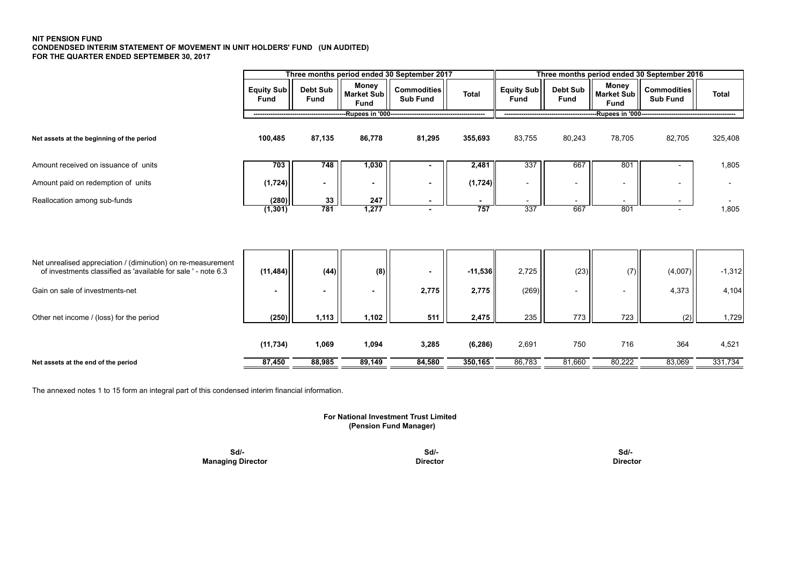## **NIT PENSION FUND CONDENDSED INTERIM STATEMENT OF MOVEMENT IN UNIT HOLDERS' FUND (UN AUDITED) FOR THE QUARTER ENDED SEPTEMBER 30, 2017**

|                                                               |                    |                         |                                           | Three months period ended 30 September 2017 |              | Three months period ended 30 September 2016 |                         |                                    |                                       |              |  |  |
|---------------------------------------------------------------|--------------------|-------------------------|-------------------------------------------|---------------------------------------------|--------------|---------------------------------------------|-------------------------|------------------------------------|---------------------------------------|--------------|--|--|
|                                                               | Equity Sub<br>Fund | Debt Sub<br><b>Fund</b> | Money<br><b>Market Sub</b><br><b>Fund</b> | <b>Commodities</b><br><b>Sub Fund</b>       | <b>Total</b> | <b>Equity Sub</b><br>Fund                   | <b>Debt Sub</b><br>Fund | Money<br>Market Sub<br><b>Fund</b> | <b>Commodities</b><br><b>Sub Fund</b> | <b>Total</b> |  |  |
|                                                               |                    |                         |                                           |                                             |              |                                             |                         |                                    |                                       |              |  |  |
| Net assets at the beginning of the period                     | 100,485            | 87,135                  | 86,778                                    | 81,295                                      | 355,693      | 83,755                                      | 80,243                  | 78,705                             | 82,705                                | 325,408      |  |  |
| Amount received on issuance of units                          | 703                | 748                     | 1,030                                     |                                             | 2,481        | 337                                         | 667                     | 801                                |                                       | 1,805        |  |  |
| Amount paid on redemption of units                            | (1, 724)           | $\blacksquare$          | ٠                                         |                                             | (1,724)      | $\overline{\phantom{a}}$                    |                         | $\overline{\phantom{a}}$           |                                       |              |  |  |
| Reallocation among sub-funds                                  | (280)              | 33                      | 247                                       |                                             |              |                                             |                         |                                    |                                       |              |  |  |
|                                                               | (1, 301)           | 781                     | 1,277                                     |                                             | 757          | 337                                         | 667                     | 801                                |                                       | 1,805        |  |  |
| Net unrealised appreciation / (diminution) on re-measurement  |                    |                         |                                           |                                             |              |                                             |                         |                                    |                                       |              |  |  |
| of investments classified as 'available for sale ' - note 6.3 | (11, 484)          | (44)                    | (8)                                       |                                             | $-11,536$    | 2,725                                       | (23)                    | (7)                                | (4,007)                               | $-1,312$     |  |  |
| Gain on sale of investments-net                               |                    | $\blacksquare$          | ۰.                                        | 2,775                                       | 2,775        | (269)                                       |                         | $\overline{\phantom{a}}$           | 4,373                                 | 4,104        |  |  |
| Other net income / (loss) for the period                      | (250)              | 1,113                   | 1,102                                     | 511                                         | 2,475        | 235                                         | 773                     | 723                                | (2)                                   | 1,729        |  |  |
|                                                               | (11, 734)          | 1,069                   | 1,094                                     | 3,285                                       | (6, 286)     | 2,691                                       | 750                     | 716                                | 364                                   | 4,521        |  |  |
| Net assets at the end of the period                           | 87,450             | 88,985                  | 89,149                                    | 84,580                                      | 350,165      | 86,783                                      | 81,660                  | 80,222                             | 83,069                                | 331,734      |  |  |

The annexed notes 1 to 15 form an integral part of this condensed interim financial information.

 **(Pension Fund Manager) For National Investment Trust Limited**

 **Sd/- Sd/- Sd/- Managing Director** Director **Director Director Director Director Director Director**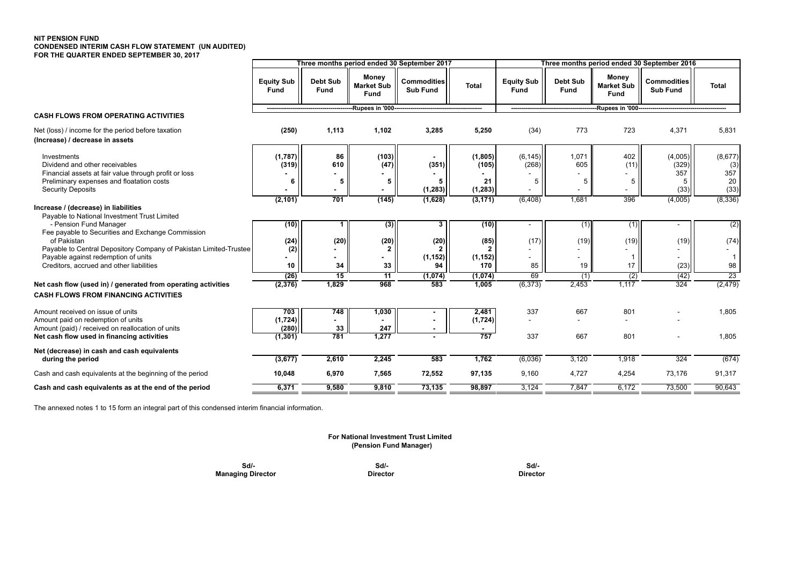## **NIT PENSION FUND CONDENSED INTERIM CASH FLOW STATEMENT (UN AUDITED) FOR THE QUARTER ENDED SEPTEMBER 30, 2017**

|                                                                                                                                                                                                                                                        | Three months period ended 30 September 2017 |                            |                                    |                                             | Three months period ended 30 September 2016 |                           |                         |                                    |                                       |                                     |
|--------------------------------------------------------------------------------------------------------------------------------------------------------------------------------------------------------------------------------------------------------|---------------------------------------------|----------------------------|------------------------------------|---------------------------------------------|---------------------------------------------|---------------------------|-------------------------|------------------------------------|---------------------------------------|-------------------------------------|
|                                                                                                                                                                                                                                                        | <b>Equity Sub</b><br>Fund                   | Debt Sub<br><b>Fund</b>    | Money<br><b>Market Sub</b><br>Fund | Commodities<br><b>Sub Fund</b>              | <b>Total</b>                                | <b>Equity Sub</b><br>Fund | <b>Debt Sub</b><br>Fund | Money<br><b>Market Sub</b><br>Fund | <b>Commodities</b><br><b>Sub Fund</b> | <b>Total</b>                        |
|                                                                                                                                                                                                                                                        |                                             |                            | -Rupees in '000--                  |                                             |                                             |                           |                         | -Rupees in '000---                 |                                       |                                     |
| <b>CASH FLOWS FROM OPERATING ACTIVITIES</b>                                                                                                                                                                                                            |                                             |                            |                                    |                                             |                                             |                           |                         |                                    |                                       |                                     |
| Net (loss) / income for the period before taxation<br>(Increase) / decrease in assets                                                                                                                                                                  | (250)                                       | 1,113                      | 1,102                              | 3,285                                       | 5,250                                       | (34)                      | 773                     | 723                                | 4,371                                 | 5,831                               |
| Investments<br>Dividend and other receivables<br>Financial assets at fair value through profit or loss<br>Preliminary expenses and floatation costs<br><b>Security Deposits</b>                                                                        | (1,787)<br>(319)<br>6                       | 86<br>610<br>5             | (103)<br>(47)<br>5                 | (351)<br>5<br>(1, 283)                      | (1, 805)<br>(105)<br>21<br>(1, 283)         | (6, 145)<br>(268)<br>5    | 1,071<br>605<br>5       | 402<br>(11)<br>5                   | (4,005)<br>(329)<br>357<br>5<br>(33)  | (8,677)<br>(3)<br>357<br>20<br>(33) |
| Increase / (decrease) in liabilities                                                                                                                                                                                                                   | (2, 101)                                    | 701                        | (145)                              | (1,628)                                     | (3, 171)                                    | (6, 408)                  | 1,681                   | 396                                | (4,005)                               | (8,336)                             |
| Payable to National Investment Trust Limited<br>- Pension Fund Manager<br>Fee payable to Securities and Exchange Commission<br>of Pakistan<br>Payable to Central Depository Company of Pakistan Limited-Trustee<br>Payable against redemption of units | (10)<br>(24)<br>(2)                         | 1<br>(20)                  | (3)<br>(20)                        | $\overline{\mathbf{3}}$<br>(20)<br>(1, 152) | (10)<br>(85)<br>(1, 152)                    | (17)                      | (1)<br>(19)             | (1)<br>(19)                        | (19)                                  | (2)<br>(74)<br>$\overline{1}$       |
| Creditors, accrued and other liabilities                                                                                                                                                                                                               | 10                                          | 34                         | 33                                 | 94                                          | 170                                         | 85                        | 19                      | 17                                 | (23)                                  | 98                                  |
|                                                                                                                                                                                                                                                        | (26)                                        | 15                         | 11                                 | (1,074)                                     | (1,074)                                     | 69                        | (1)                     | (2)                                | (42)                                  | $\overline{23}$                     |
| Net cash flow (used in) / generated from operating activities<br><b>CASH FLOWS FROM FINANCING ACTIVITIES</b>                                                                                                                                           | (2, 376)                                    | 1,829                      | 968                                | 583                                         | 1,005                                       | (6,373)                   | 2,453                   | 1,117                              | 324                                   | (2, 479)                            |
| Amount received on issue of units<br>Amount paid on redemption of units<br>Amount (paid) / received on reallocation of units<br>Net cash flow used in financing activities                                                                             | 703<br>(1,724)<br>(280)<br>(1, 301)         | 748<br>$\sim$<br>33<br>781 | 1,030<br>247<br>1,277              |                                             | 2,481<br>(1,724)<br>757                     | 337<br>337                | 667<br>667              | 801<br>801                         |                                       | 1,805<br>1,805                      |
| Net (decrease) in cash and cash equivalents                                                                                                                                                                                                            |                                             |                            |                                    |                                             |                                             |                           |                         |                                    |                                       |                                     |
| during the period                                                                                                                                                                                                                                      | (3,677)                                     | 2,610                      | 2,245                              | 583                                         | 1,762                                       | (6,036)                   | 3.120                   | 1,918                              | 324                                   | (674)                               |
| Cash and cash equivalents at the beginning of the period                                                                                                                                                                                               | 10,048                                      | 6,970                      | 7,565                              | 72,552                                      | 97,135                                      | 9,160                     | 4,727                   | 4,254                              | 73,176                                | 91,317                              |
| Cash and cash equivalents as at the end of the period                                                                                                                                                                                                  | 6,371                                       | 9,580                      | 9,810                              | 73,135                                      | 98,897                                      | 3,124                     | 7,847                   | 6,172                              | 73,500                                | 90,643                              |

The annexed notes 1 to 15 form an integral part of this condensed interim financial information.

## **For National Investment Trust Limited (Pension Fund Manager)**

| Sd/-                     | Sd/-            | Sd/-            |
|--------------------------|-----------------|-----------------|
| <b>Managing Director</b> | <b>Director</b> | <b>Director</b> |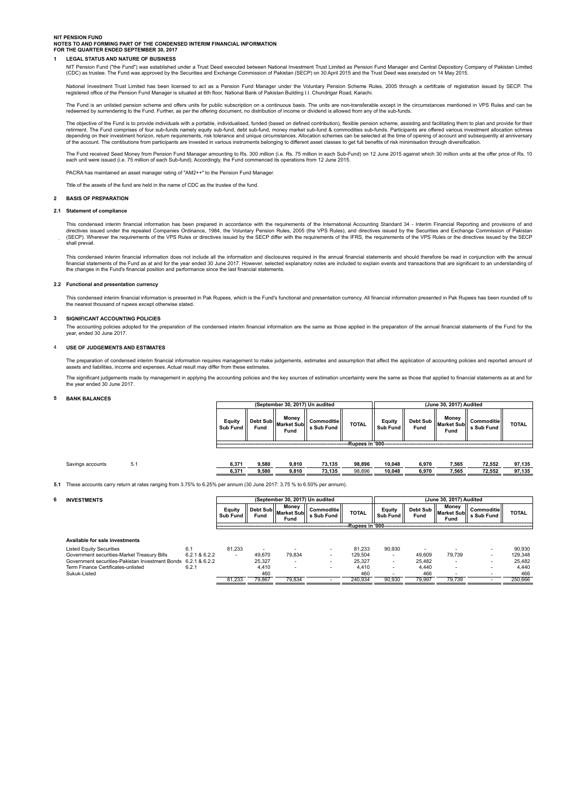## **NIT PENSION FUND**

## **NOTES TO AND FORMING PART OF THE CONDENSED INTERIM FINANCIAL INFORMATION FOR THE QUARTER ENDED SEPTEMBER 30, 2017**

## **1 LEGAL STATUS AND NATURE OF BUSINESS**

# NIT Pension Fund ("the Fund") was established under a Trust Deed executed between National Investment Trust Limited as Pension Fund Manager and Central Depository Company of Pakistan Limited<br>(CDC) as trustee. The Fund was

National Investment Trust Limited has been licensed to act as a Pension Fund Manager under the Voluntary Pension Scheme Rules, 2005 through a certifcate of registration issued by SECP. The registered office of the Pension Fund Manager is situated at 6th floor, National Bank of Pakistan Building I.I. Chundrigar Road, Karachi.

The Fund is an unlisted pension scheme and offers units for public subscription on a continuous basis. The units are non-transferable except in the circumstances mentioned in VPS Rules and can be redeemed by surrendering to the Fund. Further, as per the offering document, no distribution of income or dividend is allowed from any of the sub-funds.

The objective of the Fund is to provide individuals with a portable, individualised, funded (based on defined contribution), flexible pension scheme, assisting and facilitating them to plan and provide for their retirment. The Fund comprises of four sub-funds namely equity sub-fund, debt sub-fund, money market sub-fund & commodities sub-funds. Participants are offered various investment allocation schmes<br>depending on their investm

The Fund received Seed Money from Pension Fund Manager amounting to Rs. 300 million (i.e. Rs. 75 million in each Sub-Fund) on 12 June 2015 against which 30 million units at the offer price of Rs. 10 each unit were issued (i.e. 75 million of each Sub-fund). Accordingly, the Fund commenced its operations from 12 June 2015.

PACRA has maintained an asset manager rating of "AM2++" to the Pension Fund Manager.

Title of the assets of the fund are held in the name of CDC as the trustee of the fund.

#### **2 BASIS OF PREPARATION**

#### **2.1 Statement of compliance**

This condensed interim financial information has been prepared in accordance with the requirements of the International Accounting Standard 34 - Interim Financial Reporting and provisions of and<br>directives issued under the shall prevail.

This condensed interim financial information does not include all the information and disclosures required in the annual financial statements and should therefore be read in conjunction with the annual financial statements of the Fund as at and for the year ended 30 June 2017. However, selected explanatory notes are included to explain events and transactions that are significant to an understanding of the changes in the Fund's financial position and performance since the last financial statements.

#### **2.2 Functional and presentation currency**

This condensed interim financial information is presented in Pak Rupees, which is the Fund's functional and presentation currency. All financial information presented in Pak Rupees has been rounded off to the nearest thousand of rupees except otherwise stated.

#### **3 SIGNIFICANT ACCOUNTING POLICIES**

The accounting policies adopted for the preparation of the condensed interim financial information are the same as those applied in the preparation of the annual financial statements of the Fund for the<br>year, ended 30 June

#### 4 **USE OF JUDGEMENTS AND ESTIMATES**

The preparation of condensed interim financial information requires management to make judgements, estimates and assumption that affect the application of accounting policies and reported amount of assets and liabilities, income and expenses. Actual result may differ from these estimates.

The significant judgements made by management in applying the accounting policies and the key sources of estimation uncertainty were the same as those that applied to financial statements as at and for<br>the year ended 30 Ju

#### **5 BANK BALANCES**

|                           |      | (September 30, 2017) Un audited |                                                       |              | (June 30, 2017) Audited |      |                                          |                          |              |  |  |  |
|---------------------------|------|---------------------------------|-------------------------------------------------------|--------------|-------------------------|------|------------------------------------------|--------------------------|--------------|--|--|--|
| <b>Equity</b><br>Sub Fund | Fund | Money<br>Fund                   | Debt Sub<br>Market Sub<br>Contract Fund<br>s Sub Fund | <b>TOTAL</b> | Equity<br>Sub Fund      | Fund | Money<br>I Debt Sub Market Subli<br>Fund | Commoditie<br>s Sub Fund | <b>TOTAL</b> |  |  |  |
| -Rupees in '000-          |      |                                 |                                                       |              |                         |      |                                          |                          |              |  |  |  |

 $\overline{\mathbb{F}}$ 

**(June 30, 2017) Audited**

| Savings accounts |  | 6.37' | 9,580 | 9.810 | 73.135 | 98.896 | 10.048 | 6.970 | 7.565 | 72.552 | 97.135 |
|------------------|--|-------|-------|-------|--------|--------|--------|-------|-------|--------|--------|
|                  |  | 6.37  | 9,580 | 9.810 | 73.135 | 98.896 | 10.048 | 6.970 | 7,565 | 72.552 | 97.135 |

**(September 30, 2017) Un audited**

**5.1** These accounts carry return at rates ranging from 3.75% to 6.25% per annum (30 June 2017: 3.75 % to 6.50% per annum).

### **6 INVESTMENTS**

| Monev<br>Monev<br>Eauitv<br>Debt Subl<br>Debt Sub<br>Commoditiell<br>Eauity<br>Commoditiel<br><b>TOTAL</b><br><b>TOTAL</b><br><b>Market Subll</b><br>llMarket Subll<br>Sub Fund<br>Fund<br>Fund<br>Fund<br>Fund<br>Sub<br>Sub<br>Fund<br>$-11.7$<br>Fund<br>Fund<br>--Rupees in '00"<br>----------------<br>------------- | ----- |  | . | . |  |  |  |  |  |
|---------------------------------------------------------------------------------------------------------------------------------------------------------------------------------------------------------------------------------------------------------------------------------------------------------------------------|-------|--|---|---|--|--|--|--|--|
|                                                                                                                                                                                                                                                                                                                           |       |  |   |   |  |  |  |  |  |
|                                                                                                                                                                                                                                                                                                                           |       |  |   |   |  |  |  |  |  |

| Available for sale investments                                |               |        |                          |        |         |        |        |                          |                          |         |
|---------------------------------------------------------------|---------------|--------|--------------------------|--------|---------|--------|--------|--------------------------|--------------------------|---------|
| <b>Listed Equity Securities</b>                               | 6.1           | 81.233 | $\overline{\phantom{a}}$ |        | 81.233  | 90.930 |        |                          | $\overline{\phantom{a}}$ | 90.930  |
| Government securities-Market Treasury Bills                   | 6.2.1 & 6.2.2 |        | 49.670                   | 79.834 | 129.504 |        | 49.609 | 79.739                   | $\overline{\phantom{a}}$ | 129.348 |
| Government securities-Pakistan Investment Bonds 6.2.1 & 6.2.2 |               |        | 25.327                   |        | 25.327  |        | 25.482 |                          | $\overline{\phantom{a}}$ | 25.482  |
| Term Finance Certificates-unlisted                            | 6.2.          |        | 4.410                    |        | 4.410   |        | 4.440  | $\overline{\phantom{a}}$ | $\overline{\phantom{0}}$ | 4.440   |
| Sukuk-Listed                                                  |               |        | 460                      |        | 460     |        | 466    |                          | $\overline{\phantom{0}}$ | 466     |
|                                                               |               | 81.233 | 79.867                   | 79.834 | 240.934 | 90.930 | 79.997 | 79.739                   |                          | 250.666 |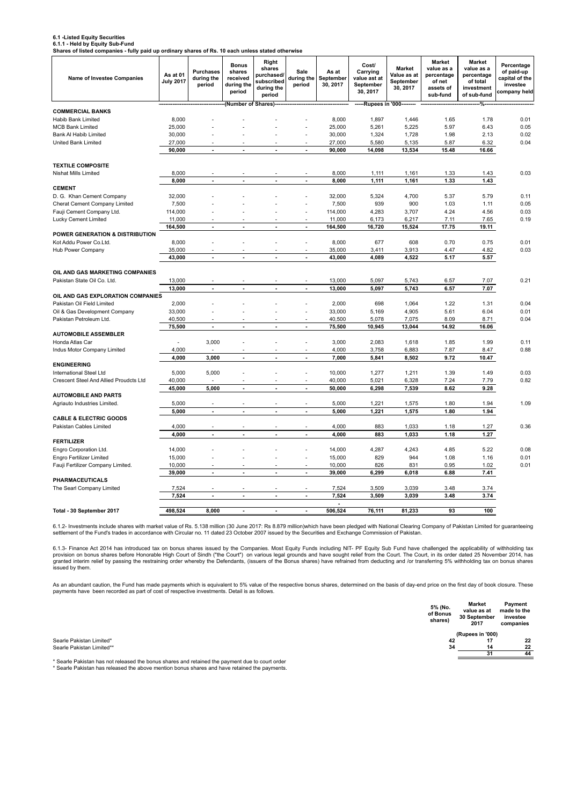## **6.1 -Listed Equity Securities**

**6.1.1 - Held by Equity Sub-Fund Shares of listed companies - fully paid up ordinary shares of Rs. 10 each unless stated otherwise**

| or notoa companies - rany p<br><b>Name of Investee Companies</b> | As at 01<br><b>July 2017</b> | ana ap orannary onlares or ris. To<br><b>Purchases</b><br>during the<br>period | <b>Bonus</b><br>shares<br>received<br>during the<br>period | Right<br>shares<br>purchased/<br>subscribed<br>during the<br>period | Sale<br>during the<br>period | As at<br>September<br>30, 2017 | Cost/<br>Carrying<br>value ast at<br>September<br>30, 2017 | <b>Market</b><br>Value as at<br>September<br>30, 2017 | <b>Market</b><br>value as a<br>percentage<br>of net<br>assets of<br>sub-fund | Market<br>value as a<br>percentage<br>of total<br>investment<br>of sub-fund | Percentage<br>of paid-up<br>capital of the<br>investee<br>company held |
|------------------------------------------------------------------|------------------------------|--------------------------------------------------------------------------------|------------------------------------------------------------|---------------------------------------------------------------------|------------------------------|--------------------------------|------------------------------------------------------------|-------------------------------------------------------|------------------------------------------------------------------------------|-----------------------------------------------------------------------------|------------------------------------------------------------------------|
|                                                                  |                              |                                                                                | (Number of Shares)                                         |                                                                     |                              |                                | ------Rupees in '000--------                               |                                                       |                                                                              |                                                                             |                                                                        |
| <b>COMMERCIAL BANKS</b>                                          |                              |                                                                                |                                                            |                                                                     |                              |                                |                                                            |                                                       |                                                                              |                                                                             |                                                                        |
| Habib Bank Limited<br><b>MCB Bank Limited</b>                    | 8,000<br>25,000              |                                                                                |                                                            |                                                                     |                              | 8,000<br>25,000                | 1,897<br>5,261                                             | 1,446<br>5,225                                        | 1.65<br>5.97                                                                 | 1.78<br>6.43                                                                | 0.01<br>0.05                                                           |
| Bank Al Habib Limited                                            | 30,000                       |                                                                                |                                                            |                                                                     |                              | 30,000                         | 1,324                                                      | 1,728                                                 | 1.98                                                                         | 2.13                                                                        | 0.02                                                                   |
| United Bank Limited                                              | 27,000                       |                                                                                |                                                            |                                                                     | ÷.                           | 27,000                         | 5,580                                                      | 5,135                                                 | 5.87                                                                         | 6.32                                                                        | 0.04                                                                   |
|                                                                  | 90,000                       |                                                                                |                                                            |                                                                     | $\overline{\phantom{a}}$     | 90,000                         | 14,098                                                     | 13,534                                                | 15.48                                                                        | 16.66                                                                       |                                                                        |
|                                                                  |                              |                                                                                |                                                            |                                                                     |                              |                                |                                                            |                                                       |                                                                              |                                                                             |                                                                        |
| <b>TEXTILE COMPOSITE</b>                                         |                              |                                                                                |                                                            |                                                                     |                              |                                |                                                            |                                                       |                                                                              |                                                                             |                                                                        |
| Nishat Mills Limited                                             | 8,000                        |                                                                                |                                                            |                                                                     |                              | 8,000                          | 1,111                                                      | 1,161                                                 | 1.33                                                                         | 1.43                                                                        | 0.03                                                                   |
|                                                                  | 8,000                        | ÷.                                                                             | ÷                                                          | ÷                                                                   | $\overline{a}$               | 8,000                          | 1,111                                                      | 1,161                                                 | 1.33                                                                         | 1.43                                                                        |                                                                        |
| <b>CEMENT</b>                                                    |                              |                                                                                |                                                            |                                                                     |                              |                                |                                                            |                                                       |                                                                              |                                                                             |                                                                        |
| D. G. Khan Cement Company                                        | 32,000                       |                                                                                |                                                            |                                                                     |                              | 32,000                         | 5,324                                                      | 4,700                                                 | 5.37                                                                         | 5.79                                                                        | 0.11                                                                   |
| Cherat Cement Company Limited                                    | 7,500                        |                                                                                |                                                            |                                                                     | ä,                           | 7,500                          | 939                                                        | 900                                                   | 1.03                                                                         | 1.11                                                                        | 0.05                                                                   |
| Fauji Cement Company Ltd.                                        | 114,000<br>11,000            |                                                                                |                                                            |                                                                     | ÷<br>÷,                      | 114,000<br>11,000              | 4,283<br>6,173                                             | 3,707<br>6,217                                        | 4.24<br>7.11                                                                 | 4.56<br>7.65                                                                | 0.03<br>0.19                                                           |
| Lucky Cement Limited                                             | 164,500                      | ÷.                                                                             | L.                                                         | ÷.                                                                  | ÷.                           | 164,500                        | 16,720                                                     | 15,524                                                | 17.75                                                                        | 19.11                                                                       |                                                                        |
| POWER GENERATION & DISTRIBUTION                                  |                              |                                                                                |                                                            |                                                                     |                              |                                |                                                            |                                                       |                                                                              |                                                                             |                                                                        |
| Kot Addu Power Co.Ltd.                                           | 8,000                        |                                                                                |                                                            |                                                                     | ÷                            | 8,000                          | 677                                                        | 608                                                   | 0.70                                                                         | 0.75                                                                        | 0.01                                                                   |
| Hub Power Company                                                | 35,000                       |                                                                                |                                                            |                                                                     |                              | 35,000                         | 3,411                                                      | 3,913                                                 | 4.47                                                                         | 4.82                                                                        | 0.03                                                                   |
|                                                                  | 43,000                       | ÷,                                                                             | L.                                                         | ÷,                                                                  | $\overline{a}$               | 43,000                         | 4,089                                                      | 4,522                                                 | 5.17                                                                         | 5.57                                                                        |                                                                        |
|                                                                  |                              |                                                                                |                                                            |                                                                     |                              |                                |                                                            |                                                       |                                                                              |                                                                             |                                                                        |
| OIL AND GAS MARKETING COMPANIES                                  |                              |                                                                                |                                                            |                                                                     |                              |                                |                                                            |                                                       |                                                                              |                                                                             |                                                                        |
| Pakistan State Oil Co. Ltd.                                      | 13,000                       |                                                                                |                                                            |                                                                     |                              | 13,000                         | 5,097                                                      | 5,743                                                 | 6.57                                                                         | 7.07                                                                        | 0.21                                                                   |
|                                                                  | 13,000                       | ÷,                                                                             | ÷,                                                         | ÷,                                                                  | ÷,                           | 13,000                         | 5,097                                                      | 5,743                                                 | 6.57                                                                         | 7.07                                                                        |                                                                        |
| OIL AND GAS EXPLORATION COMPANIES                                |                              |                                                                                |                                                            |                                                                     |                              |                                |                                                            |                                                       |                                                                              |                                                                             |                                                                        |
| Pakistan Oil Field Limited                                       | 2,000                        |                                                                                |                                                            |                                                                     |                              | 2,000                          | 698                                                        | 1,064                                                 | 1.22                                                                         | 1.31                                                                        | 0.04                                                                   |
| Oil & Gas Development Company                                    | 33,000                       |                                                                                |                                                            |                                                                     |                              | 33,000                         | 5,169                                                      | 4,905                                                 | 5.61                                                                         | 6.04                                                                        | 0.01                                                                   |
| Pakistan Petroleum Ltd.                                          | 40,500                       | $\blacksquare$                                                                 | ÷,                                                         | ÷,                                                                  | $\blacksquare$               | 40,500                         | 5,078                                                      | 7,075                                                 | 8.09                                                                         | 8.71                                                                        | 0.04                                                                   |
| <b>AUTOMOBILE ASSEMBLER</b>                                      | 75,500                       |                                                                                |                                                            |                                                                     |                              | 75,500                         | 10,945                                                     | 13,044                                                | 14.92                                                                        | 16.06                                                                       |                                                                        |
| Honda Atlas Car                                                  |                              | 3,000                                                                          |                                                            |                                                                     | ÷,                           | 3,000                          | 2,083                                                      | 1,618                                                 | 1.85                                                                         | 1.99                                                                        | 0.11                                                                   |
| Indus Motor Company Limited                                      | 4.000                        |                                                                                |                                                            |                                                                     |                              | 4,000                          | 3,758                                                      | 6,883                                                 | 7.87                                                                         | 8.47                                                                        | 0.88                                                                   |
|                                                                  | 4,000                        | 3,000                                                                          | Ĭ.                                                         | Ĭ.                                                                  | $\overline{a}$               | 7,000                          | 5,841                                                      | 8,502                                                 | 9.72                                                                         | 10.47                                                                       |                                                                        |
| <b>ENGINEERING</b>                                               |                              |                                                                                |                                                            |                                                                     |                              |                                |                                                            |                                                       |                                                                              |                                                                             |                                                                        |
| International Steel Ltd                                          | 5,000                        | 5,000                                                                          |                                                            |                                                                     |                              | 10,000                         | 1,277                                                      | 1,211                                                 | 1.39                                                                         | 1.49                                                                        | 0.03                                                                   |
| Crescent Steel And Allied Proudcts Ltd                           | 40,000                       |                                                                                |                                                            |                                                                     |                              | 40,000                         | 5,021                                                      | 6,328                                                 | 7.24                                                                         | 7.79                                                                        | 0.82                                                                   |
|                                                                  | 45,000                       | 5,000                                                                          | Ĭ.                                                         | Ĭ.                                                                  | $\overline{a}$               | 50,000                         | 6,298                                                      | 7,539                                                 | 8.62                                                                         | 9.28                                                                        |                                                                        |
| <b>AUTOMOBILE AND PARTS</b>                                      |                              |                                                                                |                                                            |                                                                     |                              |                                |                                                            |                                                       |                                                                              |                                                                             |                                                                        |
| Agriauto Industries Limited.                                     | 5,000                        |                                                                                |                                                            |                                                                     |                              | 5,000                          | 1,221                                                      | 1,575                                                 | 1.80                                                                         | 1.94                                                                        | 1.09                                                                   |
| <b>CABLE &amp; ELECTRIC GOODS</b>                                | 5,000                        | $\blacksquare$                                                                 | $\blacksquare$                                             | $\blacksquare$                                                      | $\blacksquare$               | 5,000                          | 1,221                                                      | 1,575                                                 | 1.80                                                                         | 1.94                                                                        |                                                                        |
| Pakistan Cables Limited                                          | 4,000                        |                                                                                |                                                            |                                                                     | ÷,                           | 4,000                          | 883                                                        | 1,033                                                 | 1.18                                                                         | 1.27                                                                        | 0.36                                                                   |
|                                                                  | 4,000                        | ä,                                                                             | ä,                                                         | $\overline{\phantom{a}}$                                            | $\blacksquare$               | 4,000                          | 883                                                        | 1,033                                                 | 1.18                                                                         | 1.27                                                                        |                                                                        |
| <b>FERTILIZER</b>                                                |                              |                                                                                |                                                            |                                                                     |                              |                                |                                                            |                                                       |                                                                              |                                                                             |                                                                        |
| Engro Corporation Ltd.                                           | 14,000                       |                                                                                |                                                            |                                                                     | ٠                            | 14,000                         | 4,287                                                      | 4,243                                                 | 4.85                                                                         | 5.22                                                                        | 0.08                                                                   |
| <b>Engro Fertilizer Limited</b>                                  | 15,000                       |                                                                                |                                                            |                                                                     | ä,                           | 15,000                         | 829                                                        | 944                                                   | 1.08                                                                         | 1.16                                                                        | 0.01                                                                   |
| Fauji Fertilizer Company Limited.                                | 10,000                       |                                                                                |                                                            |                                                                     |                              | 10,000                         | 826                                                        | 831                                                   | 0.95                                                                         | 1.02                                                                        | 0.01                                                                   |
|                                                                  | 39,000                       | $\blacksquare$                                                                 | ÷                                                          | $\overline{a}$                                                      | $\blacksquare$               | 39,000                         | 6,299                                                      | 6,018                                                 | 6.88                                                                         | 7.41                                                                        |                                                                        |
| PHARMACEUTICALS                                                  |                              |                                                                                |                                                            |                                                                     |                              |                                |                                                            |                                                       |                                                                              |                                                                             |                                                                        |
| The Searl Company Limited                                        | 7,524                        |                                                                                |                                                            |                                                                     | ٠                            | 7,524                          | 3,509                                                      | 3,039                                                 | 3.48                                                                         | 3.74                                                                        |                                                                        |
|                                                                  | 7,524                        | ÷,                                                                             | $\overline{\phantom{a}}$                                   | $\overline{\phantom{a}}$                                            | $\blacksquare$               | 7,524                          | 3,509                                                      | 3,039                                                 | 3.48                                                                         | 3.74                                                                        |                                                                        |
|                                                                  |                              |                                                                                |                                                            |                                                                     |                              |                                |                                                            |                                                       |                                                                              |                                                                             |                                                                        |
| Total - 30 September 2017                                        | 498,524                      | 8,000                                                                          | $\blacksquare$                                             | $\blacksquare$                                                      | $\blacksquare$               | 506,524                        | 76,111                                                     | 81,233                                                | 93                                                                           | 100                                                                         |                                                                        |

6.1.2- Investments include shares with market value of Rs. 5.138 million (30 June 2017: Rs 8.879 million)which have been pledged with National Clearing Company of Pakistan Limited for guaranteeing<br>settlement of the Fund's

6.1.3- Finance Act 2014 has introduced tax on bonus shares issued by the Companies. Most Equity Funds including NIT- PF Equity Sub Fund have challenged the applicability of withholding tax provision on bonus shares before Honorable High Court of Sindh ("the Court") on various legal grounds and have sought relief from the Court. The Court, in its order dated 25 November 2014, has<br>granted interim relief by pas

As an abundant caution, the Fund has made payments which is equivalent to 5% value of the respective bonus shares, determined on the basis of day-end price on the first day of book closure. These<br>payments have been recorde

| 5% (No.<br>of Bonus<br>shares) | Market<br>value as at<br>30 September<br>2017 | Payment<br>made to the<br>investee<br>companies |
|--------------------------------|-----------------------------------------------|-------------------------------------------------|
|                                | (Rupees in '000)                              |                                                 |
| 42                             | 17                                            | 22                                              |
| 34                             | 14                                            | 22                                              |
|                                | ۰,                                            |                                                 |

Searle Pakistan Limited\* Searle Pakistan Limited\*\*

\* Searle Pakistan has not released the bonus shares and retained the payment due to court order \* Searle Pakistan has released the above mention bonus shares and have retained the payments.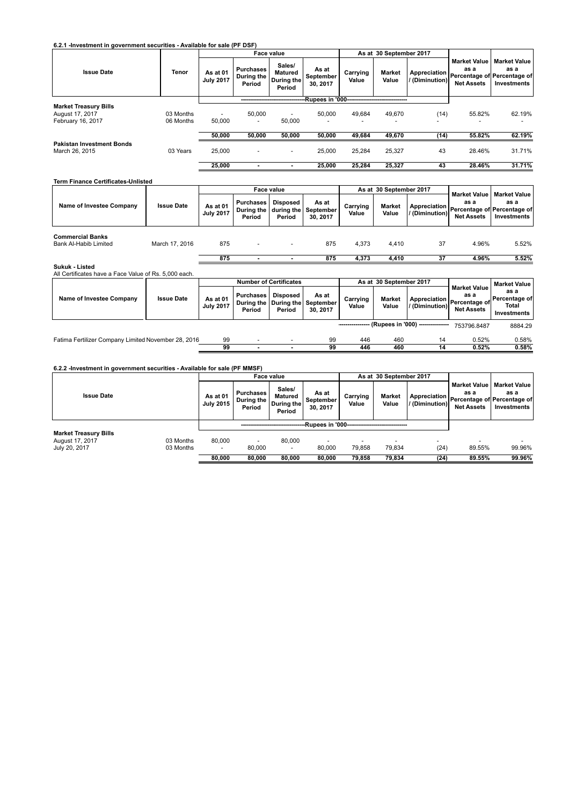**6.2.1 -Investment in government securities - Available for sale (PF DSF)**

|                                                                      |                        |                                    |                                          | <b>Face value</b>                         |                                                |                                    | As at 30 September 2017 |                |                                                  |                                                                                          |
|----------------------------------------------------------------------|------------------------|------------------------------------|------------------------------------------|-------------------------------------------|------------------------------------------------|------------------------------------|-------------------------|----------------|--------------------------------------------------|------------------------------------------------------------------------------------------|
| <b>Issue Date</b>                                                    | <b>Tenor</b>           | As at 01<br><b>July 2017</b>       | <b>Purchases</b><br>During the<br>Period | Sales/<br>Matured<br>During the<br>Period | As at<br>September<br>30, 2017                 | Carrying<br>Value                  | <b>Market</b><br>Value  | / (Diminution) | <b>Market Value</b><br>as a<br><b>Net Assets</b> | <b>Market Value</b><br>as a<br>Appreciation   Percentage of Percentage of<br>Investments |
|                                                                      |                        |                                    |                                          |                                           | -Rupees in '000------------------------------- |                                    |                         |                |                                                  |                                                                                          |
| <b>Market Treasury Bills</b><br>August 17, 2017<br>February 16, 2017 | 03 Months<br>06 Months | $\overline{\phantom{0}}$<br>50,000 | 50,000<br>$\overline{\phantom{0}}$       | 50,000                                    | 50,000<br>-                                    | 49,684<br>$\overline{\phantom{0}}$ | 49.670                  | (14)<br>-      | 55.82%                                           | 62.19%                                                                                   |
|                                                                      |                        | 50,000                             | 50,000                                   | 50,000                                    | 50,000                                         | 49,684                             | 49,670                  | (14)           | 55.82%                                           | 62.19%                                                                                   |
| <b>Pakistan Investment Bonds</b><br>March 26, 2015                   | 03 Years               | 25,000                             |                                          | $\overline{a}$                            | 25,000                                         | 25.284                             | 25.327                  | 43             | 28.46%                                           | 31.71%                                                                                   |
|                                                                      |                        | 25.000                             |                                          |                                           | 25.000                                         | 25,284                             | 25,327                  | 43             | 28.46%                                           | 31.71%                                                                                   |

|                                                         |                   |                              |                            | Face value         |                                                         |                   | As at 30 September 2017 |                |                                                  |                                                                                         |
|---------------------------------------------------------|-------------------|------------------------------|----------------------------|--------------------|---------------------------------------------------------|-------------------|-------------------------|----------------|--------------------------------------------------|-----------------------------------------------------------------------------------------|
| Name of Investee Company                                | <b>Issue Date</b> | As at 01<br><b>July 2017</b> | <b>Purchases</b><br>Period | Disposed<br>Period | As at<br>During the   during the   September<br>30.2017 | Carrying<br>Value | <b>Market</b><br>Value  | / (Diminution) | <b>Market Value</b><br>as a<br><b>Net Assets</b> | ∣ Market Value I<br>as a<br>  Appreciation   Percentage of Percentage of<br>Investments |
| <b>Commercial Banks</b><br><b>Bank Al-Habib Limited</b> | March 17, 2016    | 875                          |                            |                    | 875                                                     | 4.373             | 4.410                   | 37             | 4.96%                                            | 5.52%                                                                                   |
|                                                         |                   | 875                          |                            |                    | 875                                                     | 4.373             | 4.410                   | 37             | 4.96%                                            | 5.52%                                                                                   |

# **Sukuk - Listed** All Certificates have a Face Value of Rs. 5,000 each.

| All Gertingales have a race value of its. J.000 each. |                   |                              |                               |                    |                                                         |                   |                         |                                  |                                                                                      |                                                  |
|-------------------------------------------------------|-------------------|------------------------------|-------------------------------|--------------------|---------------------------------------------------------|-------------------|-------------------------|----------------------------------|--------------------------------------------------------------------------------------|--------------------------------------------------|
|                                                       |                   |                              | <b>Number of Certificates</b> |                    |                                                         |                   | As at 30 September 2017 |                                  |                                                                                      | <b>Market Value</b>                              |
| Name of Investee Company                              | <b>Issue Date</b> | As at 01<br><b>July 2017</b> | Purchases<br>Period           | Disposed<br>Period | Asat<br>During the   During the   September<br>30, 2017 | Carrying<br>Value | <b>Market</b><br>Value  | /(Diminution)                    | <b>Market Value</b><br>as a<br>Appreciation   Percentage of   '<br><b>Net Assets</b> | as a<br>l Percentage ofl<br>Total<br>Investments |
|                                                       |                   |                              |                               |                    |                                                         |                   |                         | (Rupees in '000) --------------- | 753796.8487                                                                          | 8884.29                                          |
| Fatima Fertilizer Company Limited November 28, 2016   |                   | 99                           |                               |                    | 99                                                      | 446               | 460                     | 14                               | 0.52%                                                                                | $0.58\%$                                         |

 **99 - - 99 446 460 14 0.52% 0.58%**

# **6.2.2 -Investment in government securities - Available for sale (PF MMSF)**

|                                                                  |                        | <b>Face value</b><br>As at 30 September 2017 |                                          |                                           |                                                |                   |                        |                               |                                                  |                                                                           |
|------------------------------------------------------------------|------------------------|----------------------------------------------|------------------------------------------|-------------------------------------------|------------------------------------------------|-------------------|------------------------|-------------------------------|--------------------------------------------------|---------------------------------------------------------------------------|
| <b>Issue Date</b>                                                |                        | As at 01<br><b>July 2015</b>                 | <b>Purchases</b><br>During the<br>Period | Sales/<br>Matured<br>During the<br>Period | As at<br>September<br>30, 2017                 | Carrying<br>Value | <b>Market</b><br>Value | Appreciation<br>/(Diminution) | <b>Market Value</b><br>as a<br><b>Net Assets</b> | <b>Market Value</b><br>as a<br>Percentage of Percentage of<br>Investments |
|                                                                  |                        |                                              |                                          |                                           | --Rupees in '000------------------------------ |                   |                        |                               |                                                  |                                                                           |
| <b>Market Treasury Bills</b><br>August 17, 2017<br>July 20, 2017 | 03 Months<br>03 Months | 80,000<br>$\overline{\phantom{a}}$           | 80.000                                   | 80.000<br>$\overline{\phantom{a}}$        | 80,000                                         | 79.858            | -<br>79.834            | -<br>(24)                     | ۰<br>89.55%                                      | 99.96%                                                                    |
|                                                                  |                        | 80.000                                       | 80.000                                   | 80.000                                    | 80.000                                         | 79.858            | 79.834                 | (24)                          | 89.55%                                           | 99.96%                                                                    |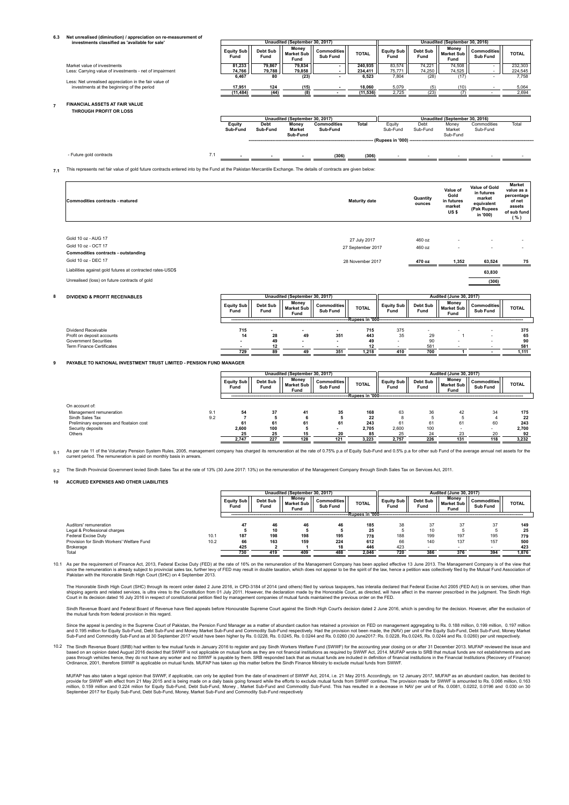|     | Net unrealised (diminution) / appreciation on re-measurement of                                                                                                 |                           |                           |                                         |                                |                                   |                                        |                         |                                           |                                                 |                                                       |
|-----|-----------------------------------------------------------------------------------------------------------------------------------------------------------------|---------------------------|---------------------------|-----------------------------------------|--------------------------------|-----------------------------------|----------------------------------------|-------------------------|-------------------------------------------|-------------------------------------------------|-------------------------------------------------------|
|     | investments classified as 'available for sale'                                                                                                                  |                           |                           | Unaudited (September 30, 2017)<br>Money |                                |                                   |                                        |                         | Unaudited (September 30, 2016)<br>Money   |                                                 |                                                       |
|     |                                                                                                                                                                 | <b>Equity Sub</b><br>Fund | Debt Sub<br>Fund          | <b>Market Sub</b><br>Fund               | <b>Commodities</b><br>Sub Fund | <b>TOTAL</b>                      | <b>Equity Sub</b><br>Fund              | Debt Sub<br>Fund        | <b>Market Sub</b><br>Fund                 | <b>Commodities</b><br>Sub Fund                  | <b>TOTAL</b>                                          |
|     | Market value of investments                                                                                                                                     | 81,233                    | 79,867                    | 79,834                                  |                                | 240,935                           | 83,574                                 | 74,221                  | 74,508                                    |                                                 | 232,303                                               |
|     | Less: Carrying value of investments - net of impairment                                                                                                         | 74,766<br>6,467           | 79,788<br>$\overline{80}$ | 79,858                                  |                                | 234,411<br>6,523                  | 75,771<br>7,804                        | 74,250<br>(28)          | 74,525<br>(17)                            |                                                 | 224,545<br>7,758                                      |
|     | Less: Net unrealised appreciation in the fair value of                                                                                                          |                           |                           | (23)                                    |                                |                                   |                                        |                         |                                           |                                                 |                                                       |
|     | investments at the beginning of the period                                                                                                                      | 17,951                    | 124                       | (15)                                    |                                | 18,060                            | 5,079                                  | (5)                     | (10)                                      |                                                 | 5,064                                                 |
|     |                                                                                                                                                                 | (11, 484)                 | (44)                      | (8)                                     |                                | (11, 536)                         | 2,725                                  | (23)                    | (7)                                       |                                                 | 2,694                                                 |
|     | FINANCIAL ASSETS AT FAIR VALUE<br>THROUGH PROFIT OR LOSS                                                                                                        |                           |                           |                                         |                                |                                   |                                        |                         |                                           |                                                 |                                                       |
|     |                                                                                                                                                                 |                           |                           | Unaudited (September 30, 2017)          |                                |                                   |                                        |                         | Unaudited (September 30, 2016)            |                                                 |                                                       |
|     |                                                                                                                                                                 | Equity<br>Sub-Fund        | <b>Debt</b><br>Sub-Fund   | Money<br><b>Market</b><br>Sub-Fund      | <b>Commodities</b><br>Sub-Fund | <b>Total</b>                      | Equity<br>Sub-Fund<br>(Rupees in '000) | Debt<br>Sub-Fund        | Money<br>Market<br>Sub-Fund               | Commodities<br>Sub-Fund                         | Total                                                 |
|     | - Future gold contracts<br>7.1                                                                                                                                  |                           |                           |                                         | (306)                          | (306)                             |                                        |                         |                                           |                                                 |                                                       |
| 7.1 | This represents net fair value of gold future contracts entered into by the Fund at the Pakistan Mercantile Exchange. The details of contracts are given below: |                           |                           |                                         |                                |                                   |                                        |                         |                                           |                                                 |                                                       |
|     |                                                                                                                                                                 |                           |                           |                                         |                                |                                   |                                        |                         | Value of                                  | Value of Gold<br>in futures                     | <b>Market</b><br>value as a                           |
|     | Commodities contracts - matured                                                                                                                                 |                           |                           |                                         |                                | <b>Maturity date</b>              |                                        | Quantity<br>ounces      | Gold<br>in futures<br>market<br>US\$      | market<br>equivalent<br>(Pak Rupees<br>in '000) | percentage<br>of net<br>assets<br>of sub fund<br>( %) |
|     | Gold 10 oz - AUG 17<br>Gold 10 oz - OCT 17<br><b>Commodities contracts - outstanding</b><br>Gold 10 oz - DEC 17                                                 |                           |                           |                                         |                                | 27 July 2017<br>27 September 2017 |                                        | 460 oz<br>460 oz        |                                           |                                                 |                                                       |
|     |                                                                                                                                                                 |                           |                           |                                         |                                | 28 November 2017                  |                                        | 470 oz                  | 1,352                                     | 63,524                                          | 75                                                    |
|     |                                                                                                                                                                 |                           |                           |                                         |                                |                                   |                                        |                         |                                           |                                                 |                                                       |
|     | Liabilities against gold futures at contracted rates-USD\$<br>Unrealised (loss) on future contracts of gold                                                     |                           |                           |                                         |                                |                                   |                                        |                         |                                           | 63,830                                          |                                                       |
|     |                                                                                                                                                                 |                           |                           |                                         |                                |                                   |                                        |                         |                                           | (306)                                           |                                                       |
|     | <b>DIVIDEND &amp; PROFIT RECEIVABLES</b>                                                                                                                        |                           |                           | Unaudited (September 30, 2017)          |                                |                                   |                                        |                         | <b>Audited (June 30, 2017)</b>            |                                                 |                                                       |
|     |                                                                                                                                                                 | <b>Equity Sub</b><br>Fund | Debt Sub<br>Fund          | Money<br><b>Market Sub</b><br>Fund      | <b>Commodities</b><br>Sub Fund | <b>TOTAL</b>                      | <b>Equity Sub</b><br>Fund              | <b>Debt Sub</b><br>Fund | Money<br><b>Market Sub</b><br>Fund        | <b>Commodities</b><br>Sub Fund                  | <b>TOTAL</b>                                          |
|     |                                                                                                                                                                 |                           |                           |                                         |                                | -Rupees in '000-                  |                                        |                         |                                           |                                                 |                                                       |
|     |                                                                                                                                                                 |                           |                           |                                         |                                |                                   |                                        |                         |                                           |                                                 |                                                       |
|     | Dividend Receivable<br>Profit on deposit accounts                                                                                                               | 715<br>14                 | 28                        | 49                                      | 351                            | 715<br>443                        | 375<br>35                              | 29                      |                                           |                                                 | 375<br>65                                             |
|     | <b>Government Securities</b>                                                                                                                                    |                           | 49                        |                                         | ٠                              | 49                                | $\overline{\phantom{a}}$               | 90                      |                                           |                                                 | 90                                                    |
|     | <b>Term Finance Certificates</b>                                                                                                                                |                           | 12                        |                                         |                                | 12                                |                                        | 581                     |                                           |                                                 | 581                                                   |
|     |                                                                                                                                                                 | 729                       | 89                        | 49                                      | 351                            | 1,218                             | 410                                    | 700                     |                                           |                                                 | 1,111                                                 |
|     | PAYABLE TO NATIONAL INVESTMENT TRUST LIMITED - PENSION FUND MANAGER                                                                                             |                           |                           |                                         |                                |                                   |                                        |                         |                                           |                                                 |                                                       |
|     |                                                                                                                                                                 |                           |                           | Unaudited (September 30, 2017)          |                                |                                   |                                        |                         | <b>Audited (June 30, 2017)</b>            |                                                 |                                                       |
|     |                                                                                                                                                                 | <b>Equity Sub</b><br>Fund | Debt Sub<br>Fund          | Money<br><b>Market Sub</b><br>Fund      | <b>Commodities</b><br>Sub Fund | <b>TOTAL</b>                      | <b>Equity Sub</b><br>Fund              | Debt Sub<br>Fund        | <b>Money</b><br><b>Market Sub</b><br>Fund | <b>Commodities</b><br>Sub Fund                  | <b>TOTAL</b>                                          |
|     |                                                                                                                                                                 |                           |                           |                                         |                                | -Rupees in '000-                  |                                        |                         |                                           |                                                 |                                                       |
|     | On account of:<br>9.1<br>Management remuneration                                                                                                                | 54                        | 37                        | 41                                      | 35                             | 168                               | 63                                     | 36                      | 42                                        | 34                                              | 175                                                   |
|     | 9.2<br>Sindh Sales Tax                                                                                                                                          | $\overline{7}$            | 5                         | - 6                                     | 5                              | 22                                | 8                                      | $\sqrt{5}$              | 5                                         | $\overline{4}$                                  |                                                       |
|     | Preliminary expenses and floataion cost                                                                                                                         | 61                        | 61                        | 61                                      | 61                             | 243                               | 61                                     | 61                      | 61                                        | 60                                              |                                                       |
|     | Security deposits<br>Others                                                                                                                                     | 2.600<br>25               | 100<br>25                 | -5<br>15                                | ٠<br>20                        | 2,705<br>85                       | 2.600<br>25                            | 100<br>24               | ٠<br>23                                   | 20                                              | 22<br>243<br>2,700<br>92                              |

0.1 As per rule 11 of the Voluntary Pension System Rules, 2005, management company has charged its remuneration at the rate of 0.75% p.a of Equity Sub-Fund and 0.5% p.a for other sub Fund of the average annual net assets f current period. The remuneration is paid on monthly basis in arrear.

<sub>9.2</sub> The Sindh Provincial Government levied Sindh Sales Tax at the rate of 13% (30 June 2017: 13%) on the remuneration of the Management Company through Sindh Sales Tax on Services Act, 2011.

#### **10 ACCRUED EXPENSES AND OTHER LIABILITIES**

|                                                     |      | Unaudited (September 30, 2017) |                  |                             | <b>Audited (June 30, 2017)</b> |                      |                    |                  |                                    |                         |              |
|-----------------------------------------------------|------|--------------------------------|------------------|-----------------------------|--------------------------------|----------------------|--------------------|------------------|------------------------------------|-------------------------|--------------|
|                                                     |      | Equity Sub<br>Fund             | Debt Sub<br>Fund | Money<br>Market Sub<br>Fund | <b>Commodities</b><br>Sub Fund | <b>TOTAL</b>         | Equity Sub<br>Fund | Debt Sub<br>Fund | Money<br><b>Market Sub</b><br>Fund | Commodities<br>Sub Fund | <b>TOTAL</b> |
|                                                     |      |                                |                  |                             |                                | -Rupees in '000----- |                    |                  |                                    |                         |              |
| Auditors' remuneration                              |      | 47                             | 46               | 46                          | 46                             | 185                  | 38                 | 37               | 37                                 | 37                      | 149          |
| Legal & Professional charges<br>Federal Excise Duty | 10.1 | 187                            | 10<br>198        | 198                         | 195                            | 25<br>778            | 188                | 10<br>199        | 197                                | 195                     | 25<br>779    |
| Provision for Sindh Workers' Welfare Fund           | 10.2 | 66                             | 163              | 159                         | 224                            | 612                  | 66                 | 140              | 137                                | 157                     | 500          |
| Brokerage                                           |      | 425                            |                  |                             | 18                             | 446                  | 423                |                  |                                    |                         | 423          |
| Total                                               |      | 730                            | 419              | 409                         | 488                            | 2.046                | 720                | 386              | 376                                | 394                     | 1,876        |

10.1 As per the requirement of Finance Act, 2013, Federal Excise Duty (FED) at the rate of 16% on the remuneration of the Management Company has been applied effective 13 June 2013. The Management Company is of the view th

The Honorable Sindh High Court (SHC) through its recent order dated 2 June 2016, in CPD-3184 of 2014 (and others) filed by various taxpayers, has interalia declared that Federal Excise Act 2005 (FED Act) is on services, ot

Sindh Revenue Board and Federal Board of Revenue have filed appeals before Honourable Supreme Court against the Sindh High Court's decision dated 2 June 2016, which is pending for the decision. However, after the exclusion

Since the appeal is pending in the Supreme Court of Pakistan, the Pension Fund Manager as a matter of abundant caution has retained a provision on FED on management aggregating to Rs. 0.188 million, 0.199 million, 0.197 mi

10.2 The Sindh Revenue Board (SRB) had written to few mutual funds in January 2016 to register and pay Sindh Workers Welfare Fund (SWWF) for the accounting year closing on or after 31 December 2013. MUFAP reviewed the issu

MUFAP has also taken a legal opinion that SWWF, if applicable, can only be applied from the date of enactment of SWWF Act, 2014, i.e. 21 May 2015. Accordingly, on 12 January 2017, MUFAP as an abundant caution, has decided